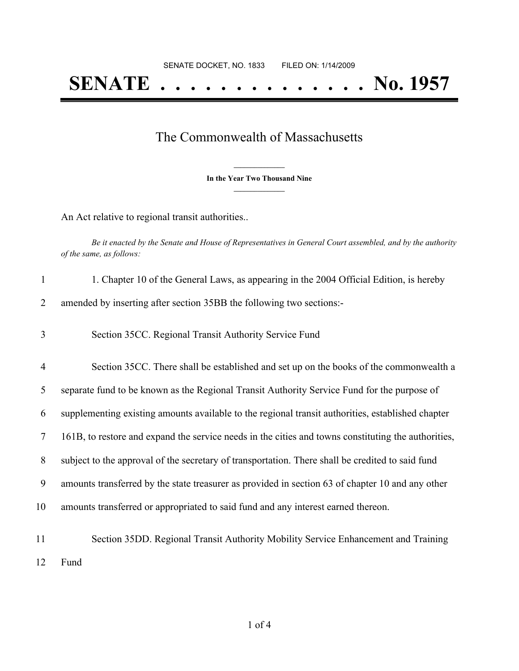## The Commonwealth of Massachusetts

**\_\_\_\_\_\_\_\_\_\_\_\_\_\_\_ In the Year Two Thousand Nine \_\_\_\_\_\_\_\_\_\_\_\_\_\_\_**

An Act relative to regional transit authorities..

Be it enacted by the Senate and House of Representatives in General Court assembled, and by the authority *of the same, as follows:*

| $\mathbf{1}$   | 1. Chapter 10 of the General Laws, as appearing in the 2004 Official Edition, is hereby             |
|----------------|-----------------------------------------------------------------------------------------------------|
| 2              | amended by inserting after section 35BB the following two sections:-                                |
| 3              | Section 35CC. Regional Transit Authority Service Fund                                               |
| $\overline{4}$ | Section 35CC. There shall be established and set up on the books of the commonwealth a              |
| 5              | separate fund to be known as the Regional Transit Authority Service Fund for the purpose of         |
| 6              | supplementing existing amounts available to the regional transit authorities, established chapter   |
| $\overline{7}$ | 161B, to restore and expand the service needs in the cities and towns constituting the authorities, |
| 8              | subject to the approval of the secretary of transportation. There shall be credited to said fund    |
| 9              | amounts transferred by the state treasurer as provided in section 63 of chapter 10 and any other    |
| 10             | amounts transferred or appropriated to said fund and any interest earned thereon.                   |
| 11             | Section 35DD. Regional Transit Authority Mobility Service Enhancement and Training                  |
| 12             | Fund                                                                                                |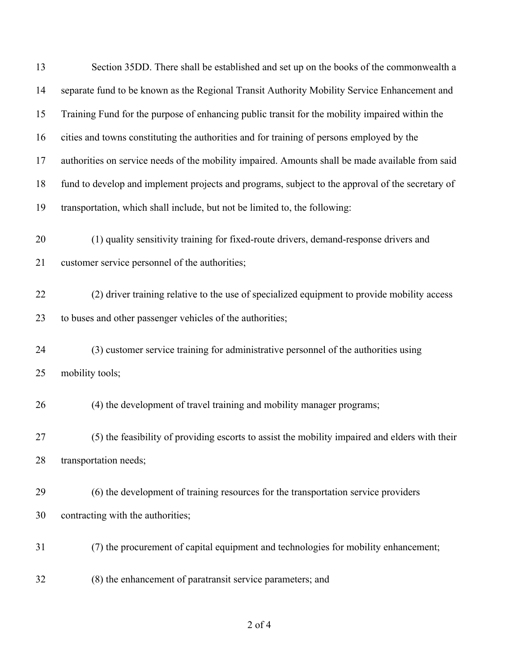| 13 | Section 35DD. There shall be established and set up on the books of the commonwealth a           |
|----|--------------------------------------------------------------------------------------------------|
| 14 | separate fund to be known as the Regional Transit Authority Mobility Service Enhancement and     |
| 15 | Training Fund for the purpose of enhancing public transit for the mobility impaired within the   |
| 16 | cities and towns constituting the authorities and for training of persons employed by the        |
| 17 | authorities on service needs of the mobility impaired. Amounts shall be made available from said |
| 18 | fund to develop and implement projects and programs, subject to the approval of the secretary of |
| 19 | transportation, which shall include, but not be limited to, the following:                       |
| 20 | (1) quality sensitivity training for fixed-route drivers, demand-response drivers and            |
| 21 | customer service personnel of the authorities;                                                   |
| 22 | (2) driver training relative to the use of specialized equipment to provide mobility access      |
| 23 | to buses and other passenger vehicles of the authorities;                                        |
| 24 | (3) customer service training for administrative personnel of the authorities using              |
| 25 | mobility tools;                                                                                  |
| 26 | (4) the development of travel training and mobility manager programs;                            |
| 27 | (5) the feasibility of providing escorts to assist the mobility impaired and elders with their   |
| 28 | transportation needs;                                                                            |
| 29 | (6) the development of training resources for the transportation service providers               |
| 30 | contracting with the authorities;                                                                |
| 31 | (7) the procurement of capital equipment and technologies for mobility enhancement;              |
| 32 | (8) the enhancement of paratransit service parameters; and                                       |

## of 4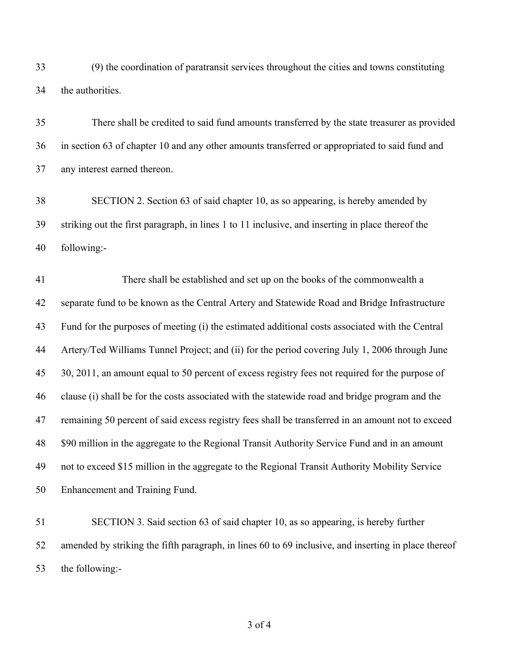(9) the coordination of paratransit services throughout the cities and towns constituting the authorities.

 There shall be credited to said fund amounts transferred by the state treasurer as provided in section 63 of chapter 10 and any other amounts transferred or appropriated to said fund and any interest earned thereon.

 SECTION 2. Section 63 of said chapter 10, as so appearing, is hereby amended by striking out the first paragraph, in lines 1 to 11 inclusive, and inserting in place thereof the following:-

 There shall be established and set up on the books of the commonwealth a separate fund to be known as the Central Artery and Statewide Road and Bridge Infrastructure Fund for the purposes of meeting (i) the estimated additional costs associated with the Central Artery/Ted Williams Tunnel Project; and (ii) for the period covering July 1, 2006 through June 30, 2011, an amount equal to 50 percent of excess registry fees not required for the purpose of clause (i) shall be for the costs associated with the statewide road and bridge program and the remaining 50 percent of said excess registry fees shall be transferred in an amount not to exceed \$90 million in the aggregate to the Regional Transit Authority Service Fund and in an amount not to exceed \$15 million in the aggregate to the Regional Transit Authority Mobility Service Enhancement and Training Fund.

 SECTION 3. Said section 63 of said chapter 10, as so appearing, is hereby further amended by striking the fifth paragraph, in lines 60 to 69 inclusive, and inserting in place thereof the following:-

of 4